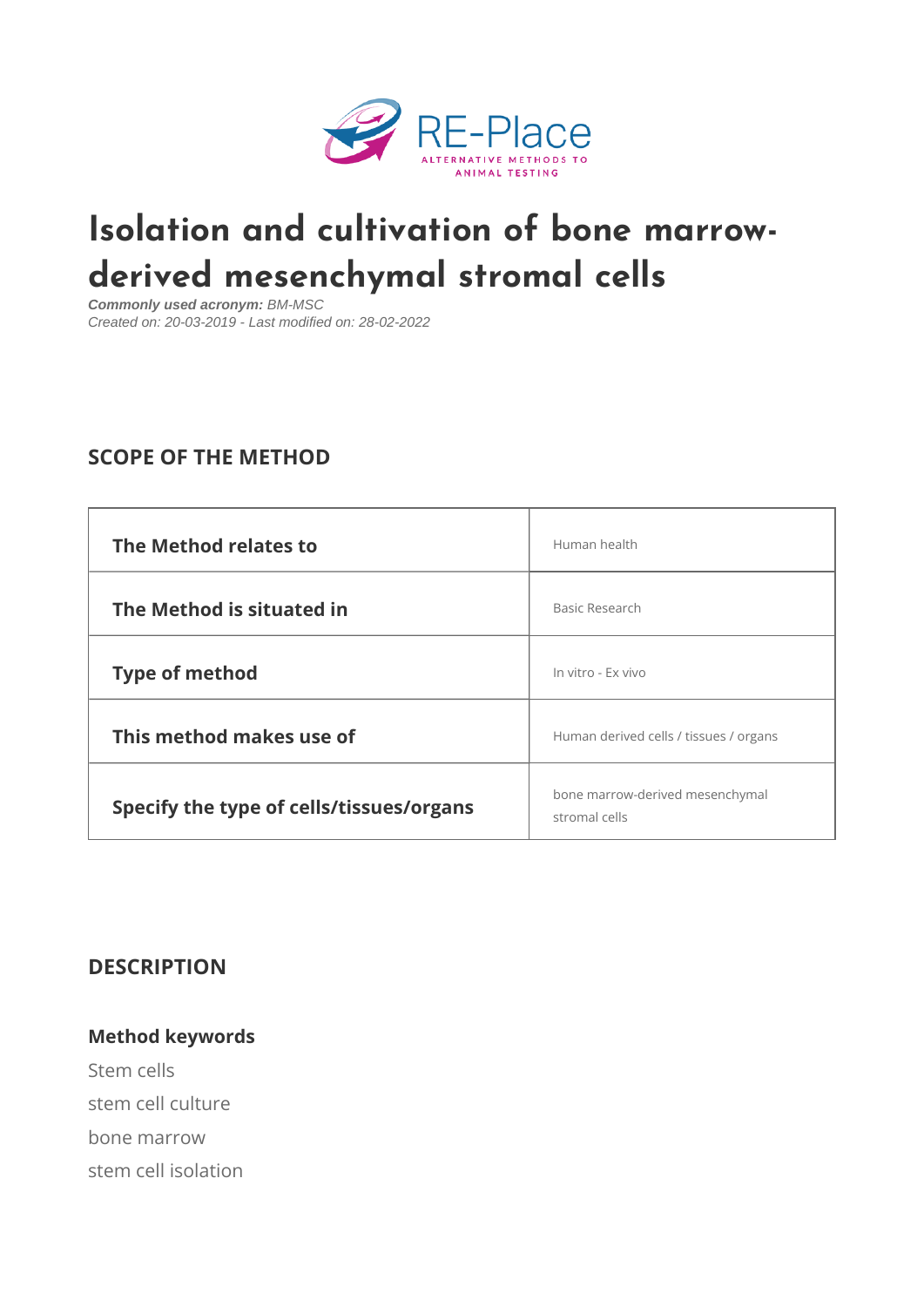# [Isolation and cultivation of](https://re-place.be/method/isolation-and-cultivation-bone-marrow-derived-mesenchymal-stromal-cells) bone derived mesenchymal stromal cell

Commonly used acronym: BM-MSC Created on: 20-03-2019 - Last modified on: 28-02-2022

# SCOPE OF THE METHOD

| The Method relates to                                                           | Human health                    |        |
|---------------------------------------------------------------------------------|---------------------------------|--------|
| The Method is situated in                                                       | Basic Research                  |        |
| Type of method                                                                  | In vitro - Ex vivo              |        |
| This method makes use of                                                        | Human derived cells / tissues / | organs |
| Specify the type of cells/tissues $\frac{1}{s}$ bone marrow-derived mesenchymal |                                 |        |

## DESCRIPTION

Method keywords Stem cells stem cell culture bone marrow stem cell isolation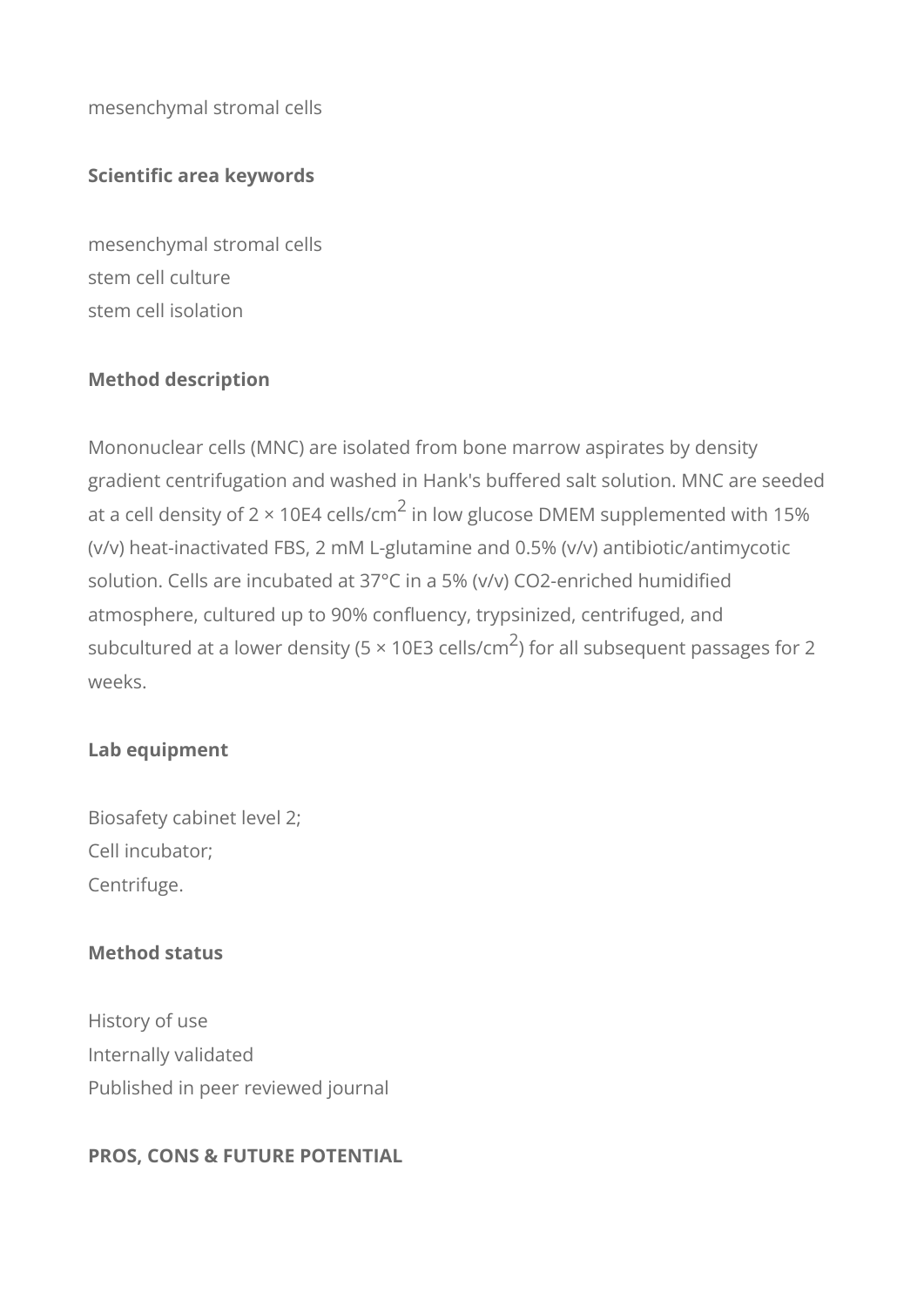mesenchymal stromal cells

## **Scientific area keywords**

mesenchymal stromal cells stem cell culture stem cell isolation

## **Method description**

Mononuclear cells (MNC) are isolated from bone marrow aspirates by density gradient centrifugation and washed in Hank's buffered salt solution. MNC are seeded at a cell density of 2 × 10E4 cells/cm $^2$  in low glucose DMEM supplemented with 15% (v/v) heat-inactivated FBS, 2 mM L-glutamine and 0.5% (v/v) antibiotic/antimycotic solution. Cells are incubated at 37°C in a 5% (v/v) CO2-enriched humidified atmosphere, cultured up to 90% confluency, trypsinized, centrifuged, and subcultured at a lower density (5  $\times$  10E3 cells/cm $^2$ ) for all subsequent passages for 2 weeks.

## **Lab equipment**

Biosafety cabinet level 2; Cell incubator; Centrifuge.

## **Method status**

History of use Internally validated Published in peer reviewed journal

#### **PROS, CONS & FUTURE POTENTIAL**